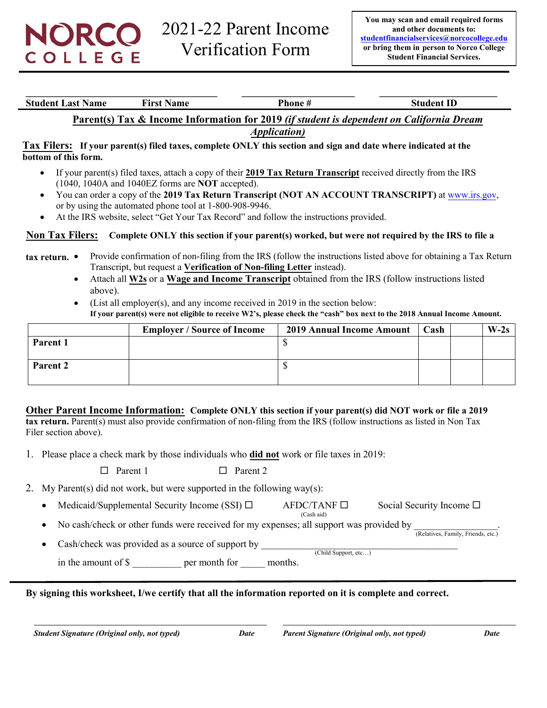**\_\_\_\_\_\_\_\_\_\_\_\_\_\_\_\_\_\_\_\_\_\_\_\_\_\_\_\_\_\_\_\_\_\_\_\_\_\_\_ \_\_\_\_\_\_\_\_\_\_\_\_\_\_\_\_\_\_\_\_\_\_\_ \_\_\_\_\_\_\_\_\_\_\_\_\_\_\_\_\_\_\_\_\_\_\_\_ Student Last Name First Name Phone # Student ID Phone # Student ID** 

# **Parent(s) Tax & Income Information for 2019** *(if student is dependent on California Dream*

*Application)*

**Tax Filers: If your parent(s) filed taxes, complete ONLY this section and sign and date where indicated at the bottom of this form.**

- If your parent(s) filed taxes, attach a copy of their **2019 Tax Return Transcript** received directly from the IRS (1040, 1040A and 1040EZ forms are **NOT** accepted).
- You can order a copy of the **2019 Tax Return Transcript (NOT AN ACCOUNT TRANSCRIPT)** at [www.irs.gov,](http://www.irs.gov/) or by using the automated phone tool at 1-800-908-9946.
- At the IRS website, select "Get Your Tax Record" and follow the instructions provided.

#### **Non Tax Filers: Complete ONLY this section if your parent(s) worked, but were not required by the IRS to file a**

- **tax return.**  Provide confirmation of non-filing from the IRS (follow the instructions listed above for obtaining a Tax Return Transcript, but request a **Verification of Non-filing Letter** instead).
	- Attach all **W2s** or a **Wage and Income Transcript** obtained from the IRS (follow instructions listed above).
	- (List all employer(s), and any income received in 2019 in the section below: **If your parent(s) were not eligible to receive W2's, please check the "cash" box next to the 2018 Annual Income Amount.**

|          | <b>Employer / Source of Income</b> | <b>2019 Annual Income Amount</b> | Cash | $W-2s$ |
|----------|------------------------------------|----------------------------------|------|--------|
| Parent 1 |                                    |                                  |      |        |
| Parent 2 |                                    |                                  |      |        |

#### **Other Parent Income Information: Complete ONLY this section if your parent(s) did NOT work or file a 2019**

**tax return.** Parent(s) must also provide confirmation of non-filing from the IRS (follow instructions as listed in Non Tax Filer section above).

1. Please place a check mark by those individuals who **did not** work or file taxes in 2019:

 $\Box$  Parent 1  $\Box$  Parent 2

- 2. My Parent(s) did not work, but were supported in the following way(s):
	- Medicaid/Supplemental Security Income (SSI)  $\Box$  AFDC/TANF  $\Box$  Social Security Income  $\Box$ (Cash aid)
	- No cash/check or other funds were received for my expenses; all support was provided by (Relatives, Family, Friends, etc.)
	- Cash/check was provided as a source of support by (Child Support, etc…) in the amount of \$ per month for months.

**By signing this worksheet, I/we certify that all the information reported on it is complete and correct.**